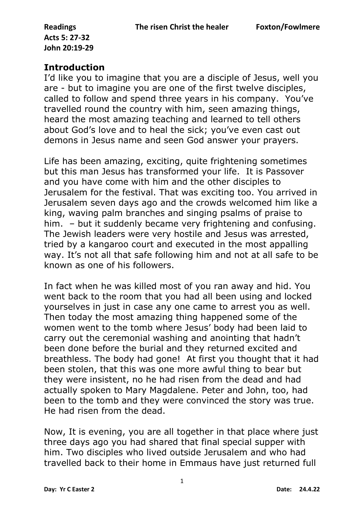## **Introduction**

I'd like you to imagine that you are a disciple of Jesus, well you are - but to imagine you are one of the first twelve disciples, called to follow and spend three years in his company. You've travelled round the country with him, seen amazing things, heard the most amazing teaching and learned to tell others about God's love and to heal the sick; you've even cast out demons in Jesus name and seen God answer your prayers.

Life has been amazing, exciting, quite frightening sometimes but this man Jesus has transformed your life. It is Passover and you have come with him and the other disciples to Jerusalem for the festival. That was exciting too. You arrived in Jerusalem seven days ago and the crowds welcomed him like a king, waving palm branches and singing psalms of praise to him. – but it suddenly became very frightening and confusing. The Jewish leaders were very hostile and Jesus was arrested, tried by a kangaroo court and executed in the most appalling way. It's not all that safe following him and not at all safe to be known as one of his followers.

In fact when he was killed most of you ran away and hid. You went back to the room that you had all been using and locked yourselves in just in case any one came to arrest you as well. Then today the most amazing thing happened some of the women went to the tomb where Jesus' body had been laid to carry out the ceremonial washing and anointing that hadn't been done before the burial and they returned excited and breathless. The body had gone! At first you thought that it had been stolen, that this was one more awful thing to bear but they were insistent, no he had risen from the dead and had actually spoken to Mary Magdalene. Peter and John, too, had been to the tomb and they were convinced the story was true. He had risen from the dead.

Now, It is evening, you are all together in that place where just three days ago you had shared that final special supper with him. Two disciples who lived outside Jerusalem and who had travelled back to their home in Emmaus have just returned full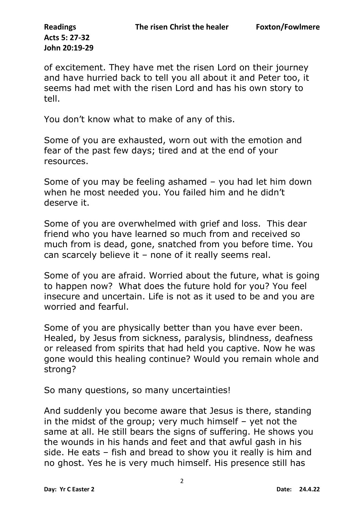of excitement. They have met the risen Lord on their journey and have hurried back to tell you all about it and Peter too, it seems had met with the risen Lord and has his own story to tell.

You don't know what to make of any of this.

Some of you are exhausted, worn out with the emotion and fear of the past few days; tired and at the end of your resources.

Some of you may be feeling ashamed – you had let him down when he most needed you. You failed him and he didn't deserve it.

Some of you are overwhelmed with grief and loss. This dear friend who you have learned so much from and received so much from is dead, gone, snatched from you before time. You can scarcely believe it – none of it really seems real.

Some of you are afraid. Worried about the future, what is going to happen now? What does the future hold for you? You feel insecure and uncertain. Life is not as it used to be and you are worried and fearful.

Some of you are physically better than you have ever been. Healed, by Jesus from sickness, paralysis, blindness, deafness or released from spirits that had held you captive. Now he was gone would this healing continue? Would you remain whole and strong?

So many questions, so many uncertainties!

And suddenly you become aware that Jesus is there, standing in the midst of the group; very much himself – yet not the same at all. He still bears the signs of suffering. He shows you the wounds in his hands and feet and that awful gash in his side. He eats – fish and bread to show you it really is him and no ghost. Yes he is very much himself. His presence still has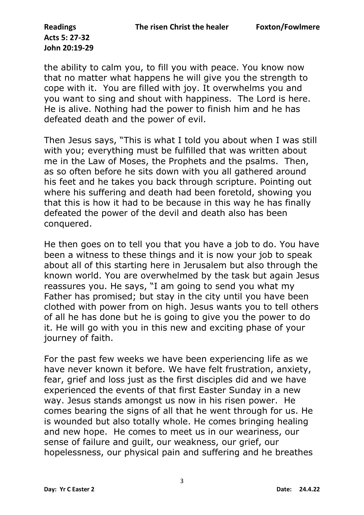the ability to calm you, to fill you with peace. You know now that no matter what happens he will give you the strength to cope with it. You are filled with joy. It overwhelms you and you want to sing and shout with happiness. The Lord is here. He is alive. Nothing had the power to finish him and he has defeated death and the power of evil.

Then Jesus says, "This is what I told you about when I was still with you; everything must be fulfilled that was written about me in the Law of Moses, the Prophets and the psalms. Then, as so often before he sits down with you all gathered around his feet and he takes you back through scripture. Pointing out where his suffering and death had been foretold, showing you that this is how it had to be because in this way he has finally defeated the power of the devil and death also has been conquered.

He then goes on to tell you that you have a job to do. You have been a witness to these things and it is now your job to speak about all of this starting here in Jerusalem but also through the known world. You are overwhelmed by the task but again Jesus reassures you. He says, "I am going to send you what my Father has promised; but stay in the city until you have been clothed with power from on high. Jesus wants you to tell others of all he has done but he is going to give you the power to do it. He will go with you in this new and exciting phase of your journey of faith.

For the past few weeks we have been experiencing life as we have never known it before. We have felt frustration, anxiety, fear, grief and loss just as the first disciples did and we have experienced the events of that first Easter Sunday in a new way. Jesus stands amongst us now in his risen power. He comes bearing the signs of all that he went through for us. He is wounded but also totally whole. He comes bringing healing and new hope. He comes to meet us in our weariness, our sense of failure and guilt, our weakness, our grief, our hopelessness, our physical pain and suffering and he breathes